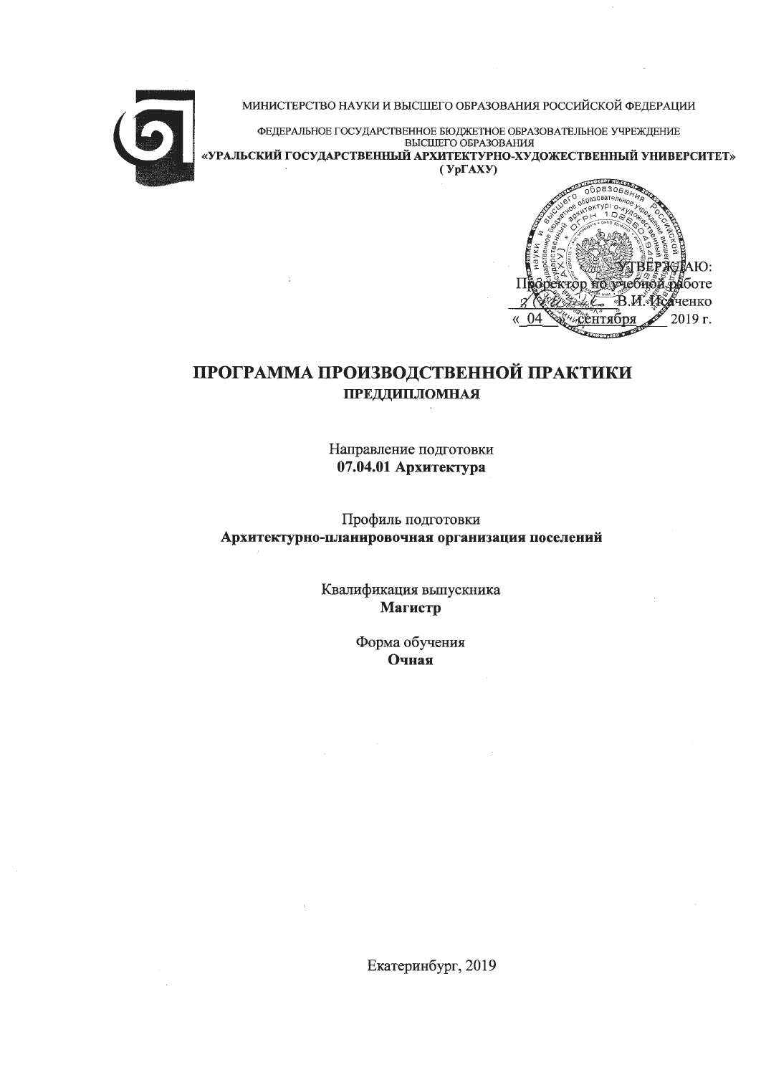

МИНИСТЕРСТВО НАУКИ И ВЫСШЕГО ОБРАЗОВАНИЯ РОССИЙСКОЙ ФЕДЕРАЦИИ

ФЕДЕРАЛЬНОЕ ГОСУДАРСТВЕННОЕ БЮДЖЕТНОЕ ОБРАЗОВАТЕЛЬНОЕ УЧРЕЖДЕНИЕ ВЫСШЕГО ОБРАЗОВАНИЯ «УРАЛЬСКИЙ ГОСУДАРСТВЕННЫЙ АРХИТЕКТУРНО-ХУДОЖЕСТВЕННЫЙ УНИВЕРСИТЕТ»  $(Yp\Gamma A X Y)$ 



# ПРОГРАММА ПРОИЗВОДСТВЕННОЙ ПРАКТИКИ **ПРЕДДИПЛОМНАЯ**

Направление подготовки 07.04.01 Архитектура

Профиль подготовки Архитектурно-планировочная организация поселений

> Квалификация выпускника Магистр

> > Форма обучения Очная

Екатеринбург, 2019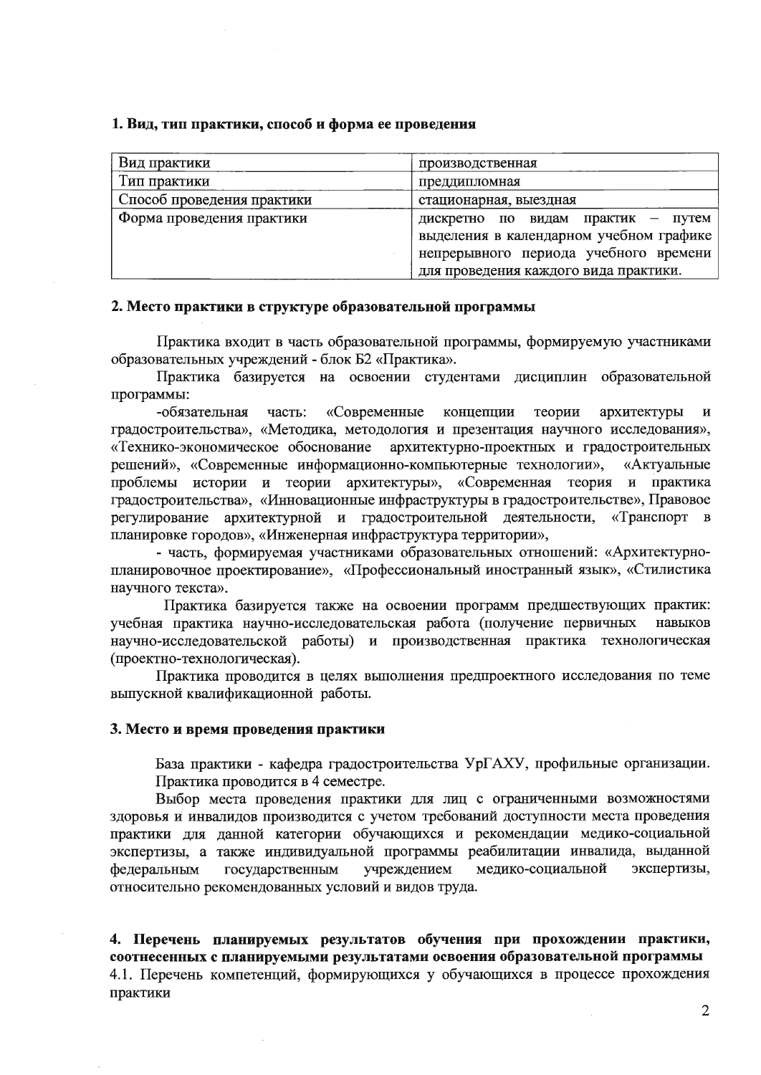#### 1. Вид, тип практики, способ и форма ее проведения

| Вид практики               | производственная                        |
|----------------------------|-----------------------------------------|
| Тип практики               | преддипломная                           |
| Способ проведения практики | стационарная, выездная                  |
| Форма проведения практики  | практик — путем<br>дискретно по видам   |
|                            | выделения в календарном учебном графике |
|                            | непрерывного периода учебного времени   |
|                            | для проведения каждого вида практики.   |

#### 2. Место практики в структуре образовательной программы

Практика входит в часть образовательной программы, формируемую участниками образовательных учреждений - блок Б2 «Практика».

Практика базируется на освоении студентами дисциплин образовательной программы:

-обязательная часть: «Современные концепции теории архитектуры  $\mathbf{M}$ градостроительства», «Методика, методология и презентация научного исследования», «Технико-экономическое обоснование архитектурно-проектных и градостроительных решений», «Современные информационно-компьютерные технологии», «Актуальные проблемы истории и теории архитектуры», «Современная теория и практика градостроительства», «Инновационные инфраструктуры в градостроительстве», Правовое регулирование архитектурной и градостроительной деятельности, «Транспорт в планировке городов», «Инженерная инфраструктура территории»,

- часть, формируемая участниками образовательных отношений: «Архитектурнопланировочное проектирование», «Профессиональный иностранный язык», «Стилистика научного текста».

Практика базируется также на освоении программ предшествующих практик: учебная практика научно-исследовательская работа (получение первичных навыков научно-исследовательской работы) и производственная практика технологическая (проектно-технологическая).

Практика проводится в целях выполнения предпроектного исследования по теме выпускной квалификационной работы.

#### 3. Место и время проведения практики

База практики - кафедра градостроительства УрГАХУ, профильные организации. Практика проводится в 4 семестре.

Выбор места проведения практики для лиц с ограниченными возможностями здоровья и инвалидов производится с учетом требований доступности места проведения практики для данной категории обучающихся и рекомендации медико-социальной экспертизы, а также индивидуальной программы реабилитации инвалида, выданной учреждением медико-социальной экспертизы, федеральным государственным относительно рекомендованных условий и видов труда.

4. Перечень планируемых результатов обучения при прохождении практики, соотнесенных с планируемыми результатами освоения образовательной программы 4.1. Перечень компетенций, формирующихся у обучающихся в процессе прохождения практики

 $\overline{2}$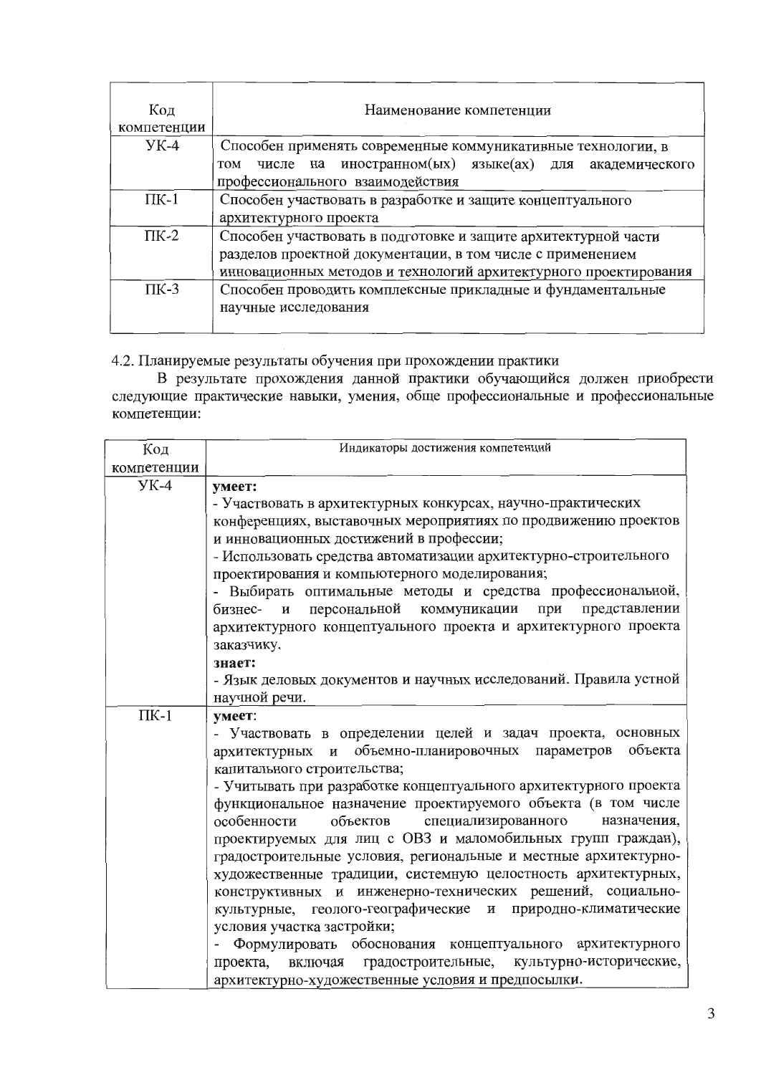| Код<br>компетенции | Наименование компетенции                                         |  |  |  |  |
|--------------------|------------------------------------------------------------------|--|--|--|--|
| $YK-4$             | Способен применять современные коммуникативные технологии, в     |  |  |  |  |
|                    | числе на иностранном(ых) языке(ах) для академического<br>TOM     |  |  |  |  |
|                    | профессионального взаимодействия                                 |  |  |  |  |
| $\Pi K-1$          | Способен участвовать в разработке и защите концептуального       |  |  |  |  |
|                    | архитектурного проекта                                           |  |  |  |  |
| $\Pi K-2$          | Способен участвовать в подготовке и защите архитектурной части   |  |  |  |  |
|                    | разделов проектной документации, в том числе с применением       |  |  |  |  |
|                    | инновационных методов и технологий архитектурного проектирования |  |  |  |  |
| $\Pi K-3$          | Способен проводить комплексные прикладные и фундаментальные      |  |  |  |  |
|                    | научные исследования                                             |  |  |  |  |
|                    |                                                                  |  |  |  |  |

4.2. Планируемые результаты обучения при прохождении практики

В результате прохождения данной практики обучающийся должен приобрести следующие практические навыки, умения, обще профессиональные и профессиональные компетенции:

| Код         | Индикаторы достижения компетенций                                 |  |  |  |  |
|-------------|-------------------------------------------------------------------|--|--|--|--|
| компетенции |                                                                   |  |  |  |  |
| $YK-4$      | умеет:                                                            |  |  |  |  |
|             | - Участвовать в архитектурных конкурсах, научно-практических      |  |  |  |  |
|             | конференциях, выставочных мероприятиях по продвижению проектов    |  |  |  |  |
|             | и инновационных достижений в профессии;                           |  |  |  |  |
|             | - Использовать средства автоматизации архитектурно-строительного  |  |  |  |  |
|             | проектирования и компьютерного моделирования;                     |  |  |  |  |
|             | - Выбирать оптимальные методы и средства профессиональной,        |  |  |  |  |
|             | и персональной коммуникации при представлении<br>бизнес-          |  |  |  |  |
|             | архитектурного концептуального проекта и архитектурного проекта   |  |  |  |  |
|             | заказчику.                                                        |  |  |  |  |
|             | знает:                                                            |  |  |  |  |
|             | - Язык деловых документов и научных исследований. Правила устной  |  |  |  |  |
|             | научной речи.                                                     |  |  |  |  |
| $\Pi K-1$   | ymeer:                                                            |  |  |  |  |
|             | - Участвовать в определении целей и задач проекта, основных       |  |  |  |  |
|             | архитектурных и объемно-планировочных параметров<br>объекта       |  |  |  |  |
|             | капитального строительства;                                       |  |  |  |  |
|             | - Учитывать при разработке концептуального архитектурного проекта |  |  |  |  |
|             | функциональное назначение проектируемого объекта (в том числе     |  |  |  |  |
|             | объектов<br>специализированного назначения,<br>особенности        |  |  |  |  |
|             | проектируемых для лиц с ОВЗ и маломобильных групп граждан),       |  |  |  |  |
|             | градостроительные условия, региональные и местные архитектурно-   |  |  |  |  |
|             | художественные традиции, системную целостность архитектурных,     |  |  |  |  |
|             | конструктивных и инженерно-технических решений, социально-        |  |  |  |  |
|             | культурные, геолого-географические и природно-климатические       |  |  |  |  |
|             | условия участка застройки;                                        |  |  |  |  |
|             | Формулировать обоснования концептуального архитектурного          |  |  |  |  |
|             | проекта, включая градостроительные, культурно-исторические,       |  |  |  |  |
|             | архитектурно-художественные условия и предпосылки.                |  |  |  |  |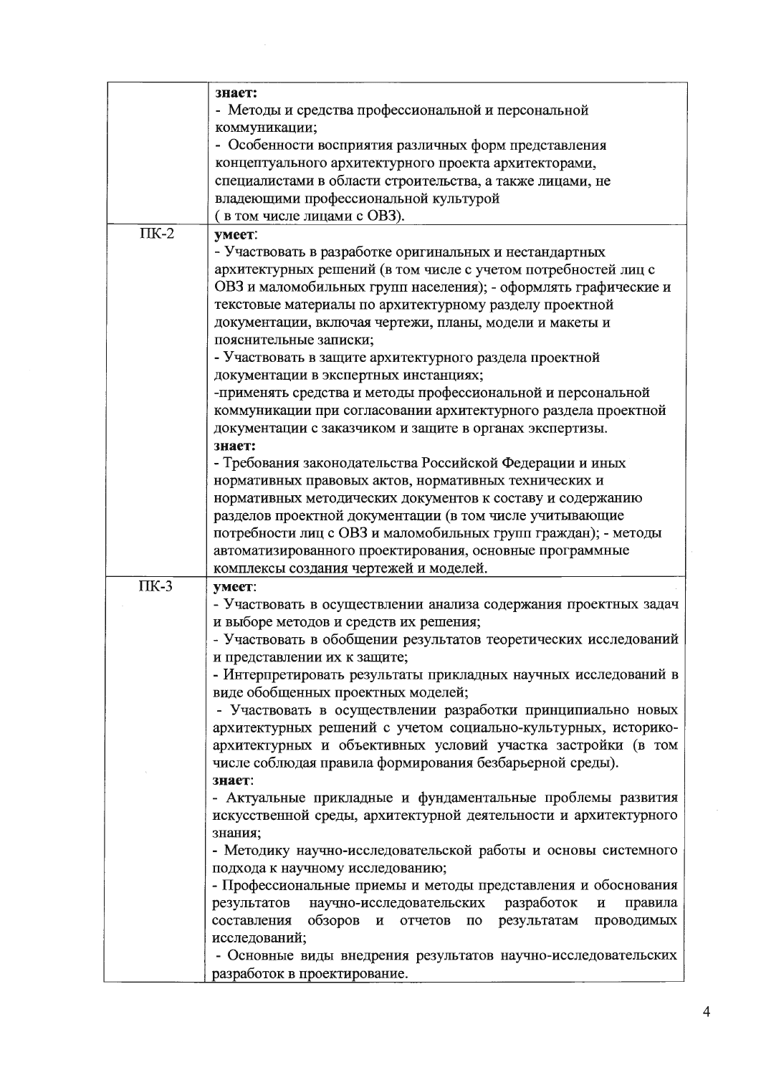|           | знает:                                                                        |  |  |
|-----------|-------------------------------------------------------------------------------|--|--|
|           | - Методы и средства профессиональной и персональной                           |  |  |
|           | коммуникации;                                                                 |  |  |
|           | - Особенности восприятия различных форм представления                         |  |  |
|           | концептуального архитектурного проекта архитекторами,                         |  |  |
|           | специалистами в области строительства, а также лицами, не                     |  |  |
|           | владеющими профессиональной культурой                                         |  |  |
|           | в том числе лицами с ОВЗ).                                                    |  |  |
| $\Pi K-2$ | умеет:                                                                        |  |  |
|           | - Участвовать в разработке оригинальных и нестандартных                       |  |  |
|           | архитектурных решений (в том числе с учетом потребностей лиц с                |  |  |
|           | ОВЗ и маломобильных групп населения); - оформлять графические и               |  |  |
|           | текстовые материалы по архитектурному разделу проектной                       |  |  |
|           | документации, включая чертежи, планы, модели и макеты и                       |  |  |
|           | пояснительные записки;                                                        |  |  |
|           | - Участвовать в защите архитектурного раздела проектной                       |  |  |
|           | документации в экспертных инстанциях;                                         |  |  |
|           | -применять средства и методы профессиональной и персональной                  |  |  |
|           | коммуникации при согласовании архитектурного раздела проектной                |  |  |
|           |                                                                               |  |  |
|           | документации с заказчиком и защите в органах экспертизы.                      |  |  |
|           | знает:                                                                        |  |  |
|           | - Требования законодательства Российской Федерации и иных                     |  |  |
|           | нормативных правовых актов, нормативных технических и                         |  |  |
|           | нормативных методических документов к составу и содержанию                    |  |  |
|           | разделов проектной документации (в том числе учитывающие                      |  |  |
|           | потребности лиц с ОВЗ и маломобильных групп граждан); - методы                |  |  |
|           | автоматизированного проектирования, основные программные                      |  |  |
|           | комплексы создания чертежей и моделей.                                        |  |  |
| $\Pi K-3$ | умеет:                                                                        |  |  |
|           | - Участвовать в осуществлении анализа содержания проектных задач              |  |  |
|           | и выборе методов и средств их решения;                                        |  |  |
|           | - Участвовать в обобщении результатов теоретических исследований              |  |  |
|           | и представлении их к защите;                                                  |  |  |
|           | - Интерпретировать результаты прикладных научных исследований в               |  |  |
|           | виде обобщенных проектных моделей;                                            |  |  |
|           | - Участвовать в осуществлении разработки принципиально новых                  |  |  |
|           | архитектурных решений с учетом социально-культурных, историко-                |  |  |
|           | архитектурных и объективных условий участка застройки (в том                  |  |  |
|           | числе соблюдая правила формирования безбарьерной среды).                      |  |  |
|           | знает:                                                                        |  |  |
|           | - Актуальные прикладные и фундаментальные проблемы развития                   |  |  |
|           | искусственной среды, архитектурной деятельности и архитектурного              |  |  |
|           | знания;                                                                       |  |  |
|           | - Методику научно-исследовательской работы и основы системного                |  |  |
|           | подхода к научному исследованию;                                              |  |  |
|           | - Профессиональные приемы и методы представления и обоснования                |  |  |
|           | научно-исследовательских разработок<br>результатов<br>правила<br>$\, {\bf N}$ |  |  |
|           | обзоров и отчетов<br>составления<br>по результатам проводимых                 |  |  |
|           | исследований;                                                                 |  |  |
|           | - Основные виды внедрения результатов научно-исследовательских                |  |  |
|           | разработок в проектирование.                                                  |  |  |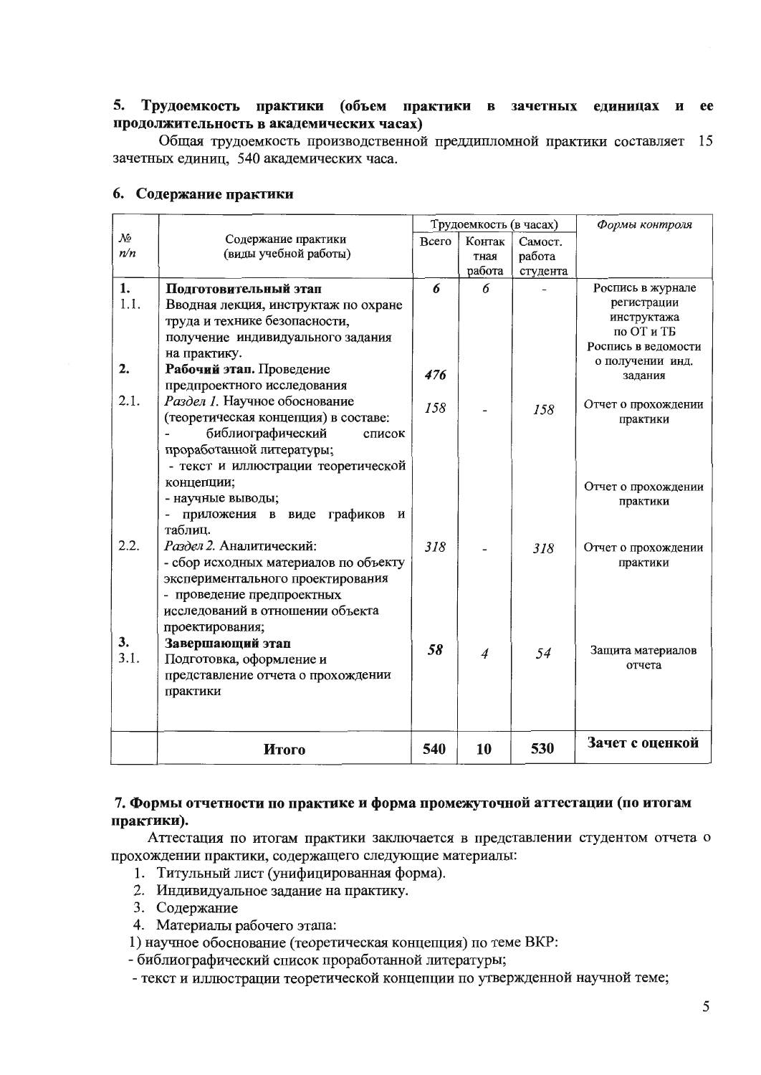#### 5. Трудоемкость практики (объем практики в зачетных единицах и ee продолжительность в академических часах)

Общая трудоемкость производственной преддипломной практики составляет 15 зачетных единиц, 540 академических часа.

|                        |                                       | Трудоемкость (в часах) |                |          | Формы контроля              |
|------------------------|---------------------------------------|------------------------|----------------|----------|-----------------------------|
| $\mathcal{N}\!\varrho$ | Содержание практики                   | Всего                  | Контак         | Самост.  |                             |
| n/n                    | (виды учебной работы)                 |                        | тная           | работа   |                             |
|                        |                                       |                        | работа         | студента |                             |
| 1.                     | Подготовительный этап                 | 6                      | 6              |          | Роспись в журнале           |
| 1.1.                   | Вводная лекция, инструктаж по охране  |                        |                |          | регистрации                 |
|                        | труда и технике безопасности,         |                        |                |          | инструктажа                 |
|                        | получение индивидуального задания     |                        |                |          | по ОТ и ТБ                  |
|                        | на практику.                          |                        |                |          | Роспись в ведомости         |
| 2.                     | Рабочий этап. Проведение              | 476                    |                |          | о получении инд.<br>задания |
|                        | предпроектного исследования           |                        |                |          |                             |
| 2.1.                   | Раздел 1. Научное обоснование         | 158                    |                |          | Отчет о прохождении         |
|                        | (теоретическая концепция) в составе:  |                        |                | 158      | практики                    |
|                        | библиографический<br>список           |                        |                |          |                             |
|                        | проработанной литературы;             |                        |                |          |                             |
|                        | - текст и иллюстрации теоретической   |                        |                |          |                             |
|                        | концепции;                            |                        |                |          | Отчет о прохождении         |
|                        | - научные выводы;                     |                        |                |          | практики                    |
|                        | приложения в виде графиков<br>И       |                        |                |          |                             |
|                        | таблиц.                               |                        |                |          |                             |
| 2.2.                   | Раздел 2. Аналитический:              | 318                    |                | 318      | Отчет о прохождении         |
|                        | - сбор исходных материалов по объекту |                        |                |          | практики                    |
|                        | экспериментального проектирования     |                        |                |          |                             |
|                        | - проведение предпроектных            |                        |                |          |                             |
|                        | исследований в отношении объекта      |                        |                |          |                             |
|                        | проектирования;                       |                        |                |          |                             |
| 3.                     | Завершающий этап                      |                        |                |          |                             |
| 3.1.                   | Подготовка, оформление и              | 58                     | $\overline{4}$ | 54       | Защита материалов           |
|                        | представление отчета о прохождении    |                        |                |          | отчета                      |
|                        | практики                              |                        |                |          |                             |
|                        |                                       |                        |                |          |                             |
|                        |                                       |                        |                |          |                             |
|                        |                                       |                        |                |          | Зачет с оценкой             |
|                        | Итого                                 | 540                    | 10             | 530      |                             |

## 6. Содержание практики

## 7. Формы отчетности по практике и форма промежуточной аттестации (по итогам практики).

Аттестация по итогам практики заключается в представлении студентом отчета о прохождении практики, содержащего следующие материалы:

- 1. Титульный лист (унифицированная форма).
- 2. Индивидуальное задание на практику.
- 3. Содержание
- 4. Материалы рабочего этапа:
- 1) научное обоснование (теоретическая концепция) по теме ВКР:
- библиографический список проработанной литературы;
- текст и иллюстрации теоретической концепции по утвержденной научной теме;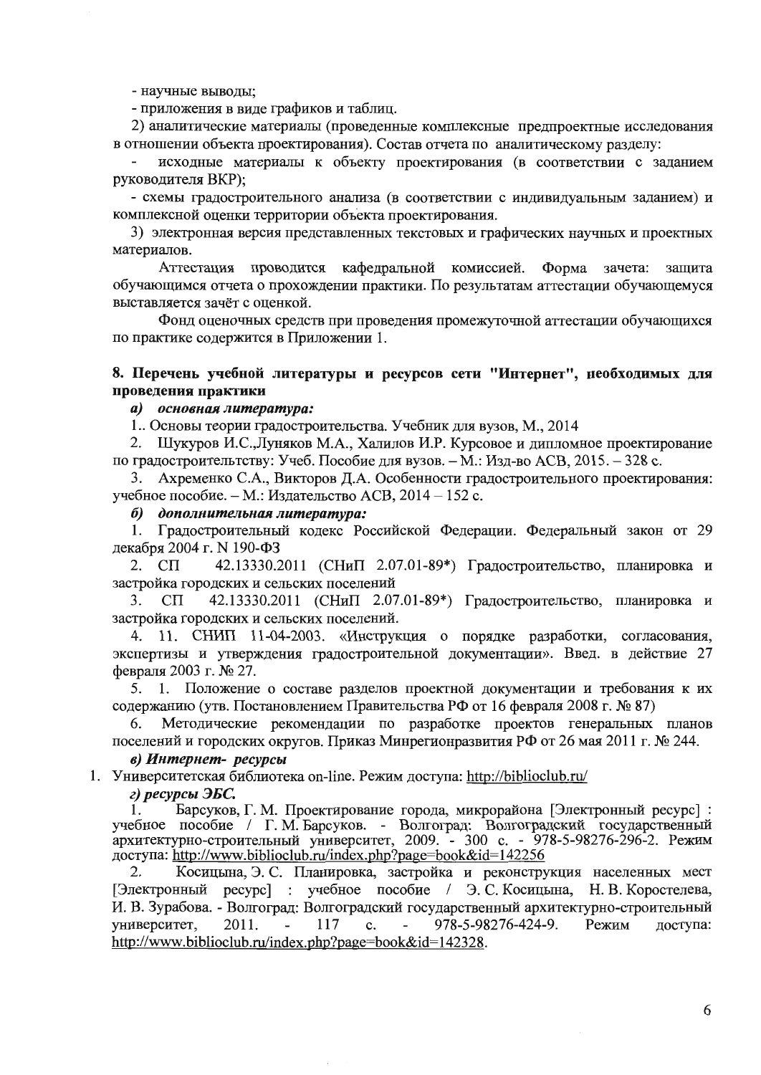- научные выводы;

- приложения в виде графиков и таблиц.

2) аналитические материалы (проведенные комплексные предпроектные исследования в отношении объекта проектирования). Состав отчета по аналитическому разделу:

исходные материалы к объекту проектирования (в соответствии с заданием руководителя ВКР):

- схемы градостроительного анализа (в соответствии с индивидуальным заданием) и комплексной оценки территории объекта проектирования.

3) электронная версия представленных текстовых и графических научных и проектных материалов.

Аттестация проводится кафедральной комиссией. Форма зачета: защита обучающимся отчета о прохождении практики. По результатам аттестации обучающемуся выставляется зачёт с оценкой.

Фонд оценочных средств при проведения промежуточной аттестации обучающихся по практике содержится в Приложении 1.

## 8. Перечень учебной литературы и ресурсов сети "Интернет", необходимых для проведения практики

## а) основная литература:

1. Основы теории градостроительства. Учебник для вузов, М., 2014

2. Шукуров И.С., Луняков М.А., Халилов И.Р. Курсовое и дипломное проектирование по градостроительтству: Учеб. Пособие для вузов. - М.: Изд-во АСВ, 2015. - 328 с.

3. Ахременко С.А., Викторов Д.А. Особенности градостроительного проектирования: учебное пособие. - М.: Излательство АСВ, 2014 - 152 с.

### б) дополнительная литература:

1. Градостроительный кодекс Российской Федерации. Федеральный закон от 29 декабря 2004 г. N 190-ФЗ

2.  $C\Pi$ 42.13330.2011 (СНиП 2.07.01-89\*) Градостроительство, планировка и застройка городских и сельских поселений

 $3<sub>1</sub>$  $C\Pi$ 42.13330.2011 (СНиП 2.07.01-89\*) Градостроительство, планировка и застройка городских и сельских поселений.

4. 11. СНИП 11-04-2003. «Инструкция о порядке разработки, согласования, экспертизы и утверждения градостроительной документации». Введ. в действие 27 февраля 2003 г. № 27.

1. Положение о составе разделов проектной документации и требования к их 5. содержанию (утв. Постановлением Правительства РФ от 16 февраля 2008 г. № 87)

Методические рекомендации по разработке проектов генеральных планов 6. поселений и городских округов. Приказ Минрегионразвития РФ от 26 мая 2011 г. № 244.

#### в) Интернет- ресурсы

1. Университетская библиотека on-line. Режим доступа: http://biblioclub.ru/

г) ресурсы ЭБС.

Барсуков, Г. М. Проектирование города, микрорайона [Электронный ресурс]: 1. учебное пособие / Г. М. Барсуков. - Волгоград: Волгоградский государственный<br>архитектурно-строительный университет, 2009. - 300 с. - 978-5-98276-296-2. Режим доступа: http://www.biblioclub.ru/index.php?page=book&id=142256

2. Косицына, Э. С. Планировка, застройка и реконструкция населенных мест [Электронный ресурс] : учебное пособие / Э.С. Косицына, Н.В. Коростелева, И. В. Зурабова. - Волгоград: Волгоградский государственный архитектурно-строительный 978-5-98276-424-9. университет, 2011. 117  $\mathbf{c}$ . Режим доступа: http://www.biblioclub.ru/index.php?page=book&id=142328.

6